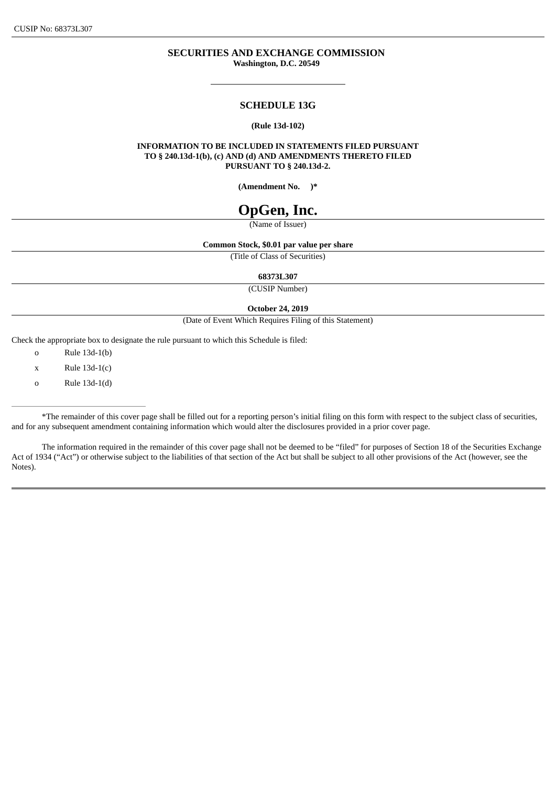# **SECURITIES AND EXCHANGE COMMISSION Washington, D.C. 20549**

#### **SCHEDULE 13G**

#### **(Rule 13d-102)**

**INFORMATION TO BE INCLUDED IN STATEMENTS FILED PURSUANT TO § 240.13d-1(b), (c) AND (d) AND AMENDMENTS THERETO FILED PURSUANT TO § 240.13d-2.**

**(Amendment No. )\***

# **OpGen, Inc.**

(Name of Issuer)

#### **Common Stock, \$0.01 par value per share**

(Title of Class of Securities)

**68373L307**

(CUSIP Number)

**October 24, 2019**

(Date of Event Which Requires Filing of this Statement)

Check the appropriate box to designate the rule pursuant to which this Schedule is filed:

o Rule 13d-1(b)

o Rule 13d-1(d)

\*The remainder of this cover page shall be filled out for a reporting person's initial filing on this form with respect to the subject class of securities, and for any subsequent amendment containing information which would alter the disclosures provided in a prior cover page.

The information required in the remainder of this cover page shall not be deemed to be "filed" for purposes of Section 18 of the Securities Exchange Act of 1934 ("Act") or otherwise subject to the liabilities of that section of the Act but shall be subject to all other provisions of the Act (however, see the Notes).

 $x$  Rule 13d-1(c)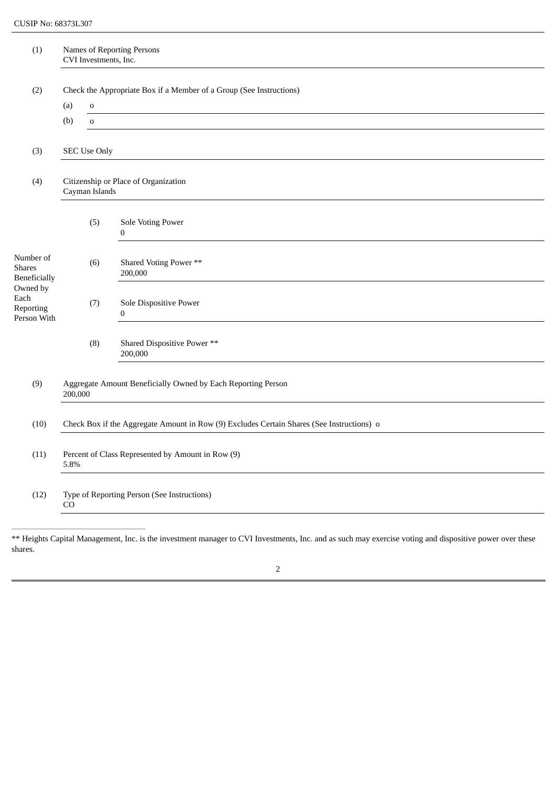| (1)                                                                                        | Names of Reporting Persons<br>CVI Investments, Inc.                                       |              |                                            |  |  |  |  |
|--------------------------------------------------------------------------------------------|-------------------------------------------------------------------------------------------|--------------|--------------------------------------------|--|--|--|--|
| (2)                                                                                        | Check the Appropriate Box if a Member of a Group (See Instructions)<br>(a)<br>$\mathbf 0$ |              |                                            |  |  |  |  |
|                                                                                            | (b)                                                                                       | $\mathbf{o}$ |                                            |  |  |  |  |
| (3)                                                                                        | <b>SEC Use Only</b>                                                                       |              |                                            |  |  |  |  |
| (4)                                                                                        | Citizenship or Place of Organization<br>Cayman Islands                                    |              |                                            |  |  |  |  |
| Number of<br><b>Shares</b><br>Beneficially<br>Owned by<br>Each<br>Reporting<br>Person With |                                                                                           | (5)          | Sole Voting Power<br>$\boldsymbol{0}$      |  |  |  |  |
|                                                                                            |                                                                                           | (6)          | Shared Voting Power **<br>200,000          |  |  |  |  |
|                                                                                            |                                                                                           | (7)          | Sole Dispositive Power<br>$\boldsymbol{0}$ |  |  |  |  |
|                                                                                            |                                                                                           | (8)          | Shared Dispositive Power **<br>200,000     |  |  |  |  |
| (9)                                                                                        | Aggregate Amount Beneficially Owned by Each Reporting Person<br>200,000                   |              |                                            |  |  |  |  |
| (10)                                                                                       | Check Box if the Aggregate Amount in Row (9) Excludes Certain Shares (See Instructions) o |              |                                            |  |  |  |  |
| (11)                                                                                       | Percent of Class Represented by Amount in Row (9)<br>5.8%                                 |              |                                            |  |  |  |  |
| (12)                                                                                       | Type of Reporting Person (See Instructions)<br>CO                                         |              |                                            |  |  |  |  |

<sup>\*\*</sup> Heights Capital Management, Inc. is the investment manager to CVI Investments, Inc. and as such may exercise voting and dispositive power over these shares.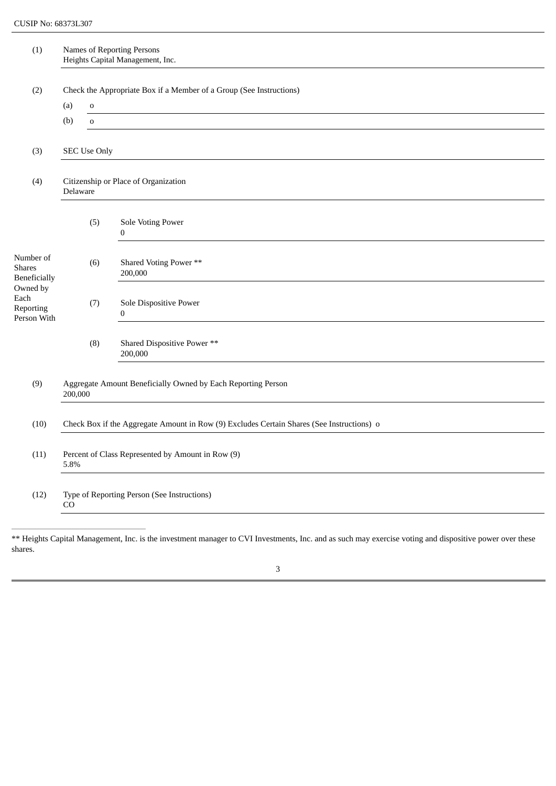| (1)                                                                                        | Names of Reporting Persons<br>Heights Capital Management, Inc.                            |             |                                          |  |  |  |  |
|--------------------------------------------------------------------------------------------|-------------------------------------------------------------------------------------------|-------------|------------------------------------------|--|--|--|--|
| (2)                                                                                        | Check the Appropriate Box if a Member of a Group (See Instructions)<br>(a)<br>$\mathbf 0$ |             |                                          |  |  |  |  |
|                                                                                            | (b)                                                                                       | $\mathbf 0$ |                                          |  |  |  |  |
| (3)                                                                                        | <b>SEC Use Only</b>                                                                       |             |                                          |  |  |  |  |
| (4)                                                                                        | Citizenship or Place of Organization<br>Delaware                                          |             |                                          |  |  |  |  |
|                                                                                            |                                                                                           | (5)         | Sole Voting Power<br>0                   |  |  |  |  |
| Number of<br><b>Shares</b><br>Beneficially<br>Owned by<br>Each<br>Reporting<br>Person With |                                                                                           | (6)         | Shared Voting Power **<br>200,000        |  |  |  |  |
|                                                                                            |                                                                                           | (7)         | Sole Dispositive Power<br>$\overline{0}$ |  |  |  |  |
|                                                                                            |                                                                                           | (8)         | Shared Dispositive Power **<br>200,000   |  |  |  |  |
| (9)                                                                                        | Aggregate Amount Beneficially Owned by Each Reporting Person<br>200,000                   |             |                                          |  |  |  |  |
| (10)                                                                                       | Check Box if the Aggregate Amount in Row (9) Excludes Certain Shares (See Instructions) o |             |                                          |  |  |  |  |
| (11)                                                                                       | Percent of Class Represented by Amount in Row (9)<br>5.8%                                 |             |                                          |  |  |  |  |
| (12)                                                                                       | Type of Reporting Person (See Instructions)<br>CO                                         |             |                                          |  |  |  |  |

<sup>\*\*</sup> Heights Capital Management, Inc. is the investment manager to CVI Investments, Inc. and as such may exercise voting and dispositive power over these shares.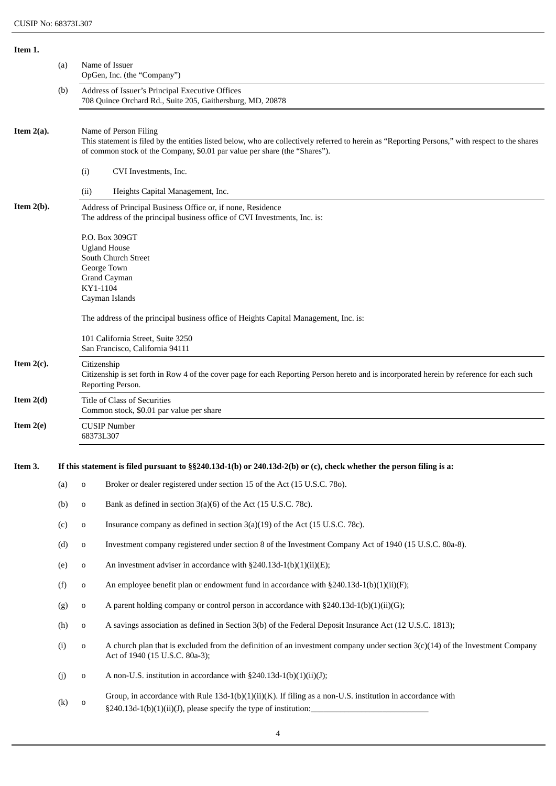| Item 1.                                                              |                   |                                                                                                                                                                                                                                                         |                                                                                                                                                                                                              |  |  |
|----------------------------------------------------------------------|-------------------|---------------------------------------------------------------------------------------------------------------------------------------------------------------------------------------------------------------------------------------------------------|--------------------------------------------------------------------------------------------------------------------------------------------------------------------------------------------------------------|--|--|
|                                                                      | (a)               |                                                                                                                                                                                                                                                         | Name of Issuer<br>OpGen, Inc. (the "Company")                                                                                                                                                                |  |  |
|                                                                      | (b)               |                                                                                                                                                                                                                                                         | Address of Issuer's Principal Executive Offices<br>708 Quince Orchard Rd., Suite 205, Gaithersburg, MD, 20878                                                                                                |  |  |
| Item $2(a)$ .                                                        |                   | Name of Person Filing<br>This statement is filed by the entities listed below, who are collectively referred to herein as "Reporting Persons," with respect to the shares<br>of common stock of the Company, \$0.01 par value per share (the "Shares"). |                                                                                                                                                                                                              |  |  |
|                                                                      |                   | (i)                                                                                                                                                                                                                                                     | CVI Investments, Inc.                                                                                                                                                                                        |  |  |
|                                                                      |                   | (ii)                                                                                                                                                                                                                                                    | Heights Capital Management, Inc.                                                                                                                                                                             |  |  |
| Item $2(b)$ .                                                        |                   | Address of Principal Business Office or, if none, Residence<br>The address of the principal business office of CVI Investments, Inc. is:                                                                                                                |                                                                                                                                                                                                              |  |  |
|                                                                      |                   | KY1-1104                                                                                                                                                                                                                                                | P.O. Box 309GT<br><b>Ugland House</b><br>South Church Street<br>George Town<br><b>Grand Cayman</b><br>Cayman Islands<br>The address of the principal business office of Heights Capital Management, Inc. is: |  |  |
| 101 California Street, Suite 3250<br>San Francisco, California 94111 |                   |                                                                                                                                                                                                                                                         |                                                                                                                                                                                                              |  |  |
| Item $2(c)$ .                                                        |                   | Citizenship<br>Citizenship is set forth in Row 4 of the cover page for each Reporting Person hereto and is incorporated herein by reference for each such<br>Reporting Person.                                                                          |                                                                                                                                                                                                              |  |  |
| Item $2(d)$                                                          |                   |                                                                                                                                                                                                                                                         | Title of Class of Securities<br>Common stock, \$0.01 par value per share                                                                                                                                     |  |  |
| Item $2(e)$                                                          |                   |                                                                                                                                                                                                                                                         | <b>CUSIP Number</b><br>68373L307                                                                                                                                                                             |  |  |
| Item 3.                                                              |                   | If this statement is filed pursuant to $\S$ 240.13d-1(b) or 240.13d-2(b) or (c), check whether the person filing is a:                                                                                                                                  |                                                                                                                                                                                                              |  |  |
|                                                                      | (a)               | $\mathbf 0$                                                                                                                                                                                                                                             | Broker or dealer registered under section 15 of the Act (15 U.S.C. 780).                                                                                                                                     |  |  |
|                                                                      | (b)               | o                                                                                                                                                                                                                                                       | Bank as defined in section 3(a)(6) of the Act (15 U.S.C. 78c).                                                                                                                                               |  |  |
|                                                                      | (c)               | o                                                                                                                                                                                                                                                       | Insurance company as defined in section 3(a)(19) of the Act (15 U.S.C. 78c).                                                                                                                                 |  |  |
|                                                                      | (d)               | o                                                                                                                                                                                                                                                       | Investment company registered under section 8 of the Investment Company Act of 1940 (15 U.S.C. 80a-8).                                                                                                       |  |  |
|                                                                      | (e)               | o                                                                                                                                                                                                                                                       | An investment adviser in accordance with $\S 240.13d-1(b)(1)(ii)(E);$                                                                                                                                        |  |  |
|                                                                      | (f)               | o                                                                                                                                                                                                                                                       | An employee benefit plan or endowment fund in accordance with $\S 240.13d-1(b)(1)(ii)(F);$                                                                                                                   |  |  |
|                                                                      | (g)               | o                                                                                                                                                                                                                                                       | A parent holding company or control person in accordance with §240.13d-1(b)(1)(ii)(G);                                                                                                                       |  |  |
|                                                                      | (h)               | o                                                                                                                                                                                                                                                       | A savings association as defined in Section 3(b) of the Federal Deposit Insurance Act (12 U.S.C. 1813);                                                                                                      |  |  |
|                                                                      | (i)               | o                                                                                                                                                                                                                                                       | A church plan that is excluded from the definition of an investment company under section $3(c)(14)$ of the Investment Company<br>Act of 1940 (15 U.S.C. 80a-3);                                             |  |  |
|                                                                      | (j)               | o                                                                                                                                                                                                                                                       | A non-U.S. institution in accordance with §240.13d-1(b)(1)(ii)(J);                                                                                                                                           |  |  |
|                                                                      | $\left( k\right)$ | ${\bf O}$                                                                                                                                                                                                                                               | Group, in accordance with Rule 13d-1(b)(1)(ii)(K). If filing as a non-U.S. institution in accordance with<br>§240.13d-1(b)(1)(ii)(J), please specify the type of institution:                                |  |  |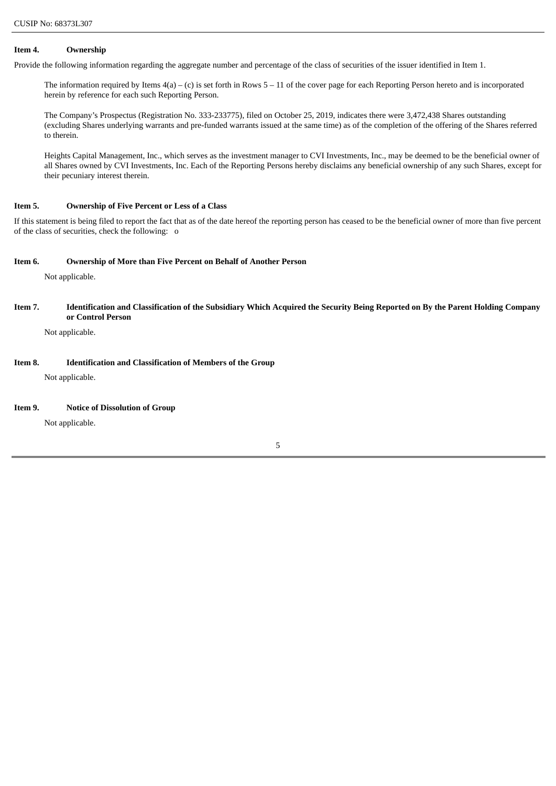#### **Item 4. Ownership**

Provide the following information regarding the aggregate number and percentage of the class of securities of the issuer identified in Item 1.

The information required by Items 4(a) – (c) is set forth in Rows 5 – 11 of the cover page for each Reporting Person hereto and is incorporated herein by reference for each such Reporting Person.

The Company's Prospectus (Registration No. 333-233775), filed on October 25, 2019, indicates there were 3,472,438 Shares outstanding (excluding Shares underlying warrants and pre-funded warrants issued at the same time) as of the completion of the offering of the Shares referred to therein.

Heights Capital Management, Inc., which serves as the investment manager to CVI Investments, Inc., may be deemed to be the beneficial owner of all Shares owned by CVI Investments, Inc. Each of the Reporting Persons hereby disclaims any beneficial ownership of any such Shares, except for their pecuniary interest therein.

# **Item 5. Ownership of Five Percent or Less of a Class**

If this statement is being filed to report the fact that as of the date hereof the reporting person has ceased to be the beneficial owner of more than five percent of the class of securities, check the following: o

#### **Item 6. Ownership of More than Five Percent on Behalf of Another Person**

Not applicable.

Item 7. Identification and Classification of the Subsidiary Which Acquired the Security Being Reported on By the Parent Holding Company **or Control Person**

Not applicable.

# **Item 8. Identification and Classification of Members of the Group**

Not applicable.

#### **Item 9. Notice of Dissolution of Group**

Not applicable.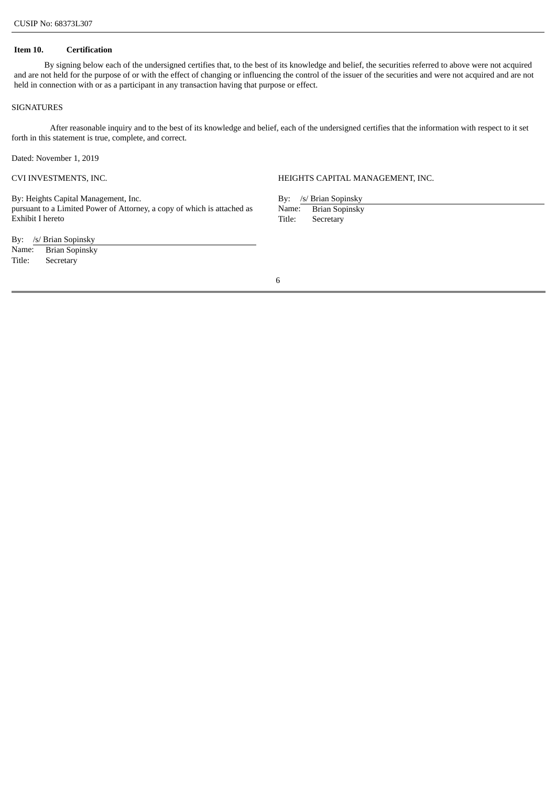#### **Item 10. Certification**

By signing below each of the undersigned certifies that, to the best of its knowledge and belief, the securities referred to above were not acquired and are not held for the purpose of or with the effect of changing or influencing the control of the issuer of the securities and were not acquired and are not held in connection with or as a participant in any transaction having that purpose or effect.

#### **SIGNATURES**

After reasonable inquiry and to the best of its knowledge and belief, each of the undersigned certifies that the information with respect to it set forth in this statement is true, complete, and correct.

Dated: November 1, 2019

By: Heights Capital Management, Inc. pursuant to a Limited Power of Attorney, a copy of which is attached as Exhibit I hereto

By: /s/ Brian Sopinsky

Name: Brian Sopinsky Title: Secretary

CVI INVESTMENTS, INC.  $\hfill$  HEIGHTS CAPITAL MANAGEMENT, INC.

By: /s/ Brian Sopinsky Name: Brian Sopinsky<br>Title: Secretary Secretary

6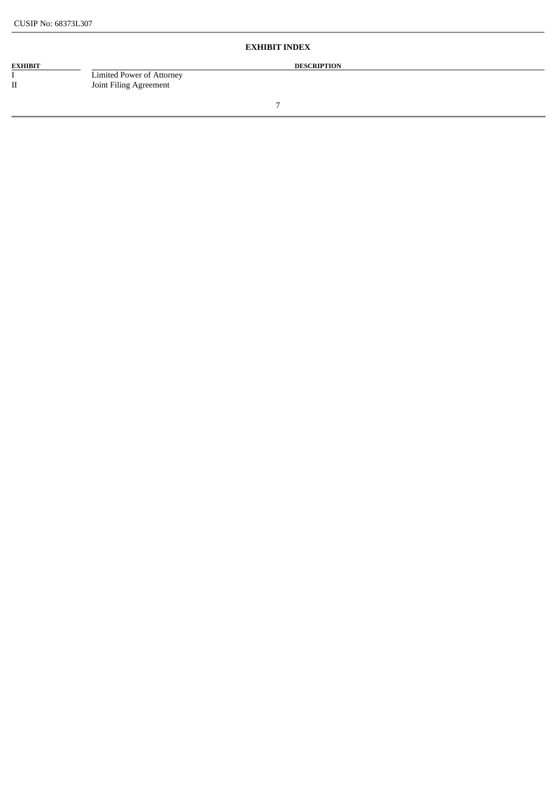# **EXHIBIT INDEX**

**EXHIBIT DESCRIPTION DESCRIPTION** I Limited Power of Attorney<br>II Joint Filing Agreement

Joint Filing Agreement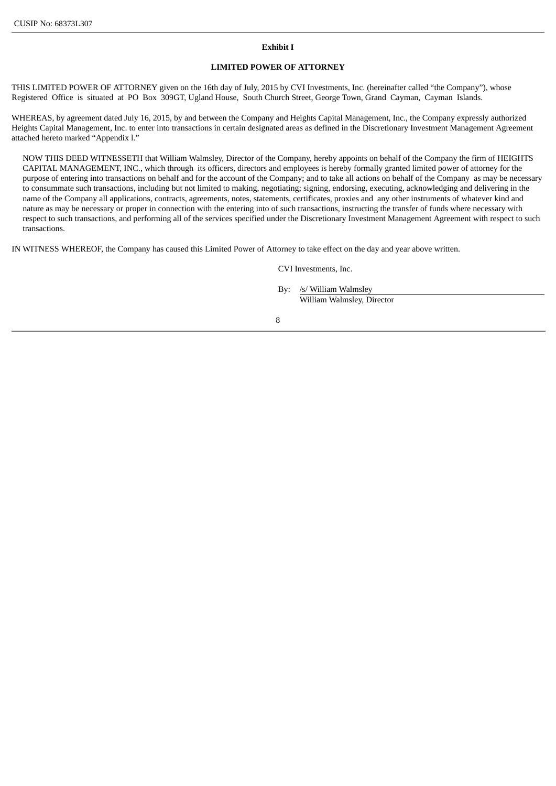#### **Exhibit I**

# **LIMITED POWER OF ATTORNEY**

THIS LIMITED POWER OF ATTORNEY given on the 16th day of July, 2015 by CVI Investments, Inc. (hereinafter called "the Company"), whose Registered Office is situated at PO Box 309GT, Ugland House, South Church Street, George Town, Grand Cayman, Cayman Islands.

WHEREAS, by agreement dated July 16, 2015, by and between the Company and Heights Capital Management, Inc., the Company expressly authorized Heights Capital Management, Inc. to enter into transactions in certain designated areas as defined in the Discretionary Investment Management Agreement attached hereto marked "Appendix l."

NOW THIS DEED WITNESSETH that William Walmsley, Director of the Company, hereby appoints on behalf of the Company the firm of HEIGHTS CAPITAL MANAGEMENT, INC., which through its officers, directors and employees is hereby formally granted limited power of attorney for the purpose of entering into transactions on behalf and for the account of the Company; and to take all actions on behalf of the Company as may be necessary to consummate such transactions, including but not limited to making, negotiating; signing, endorsing, executing, acknowledging and delivering in the name of the Company all applications, contracts, agreements, notes, statements, certificates, proxies and any other instruments of whatever kind and nature as may be necessary or proper in connection with the entering into of such transactions, instructing the transfer of funds where necessary with respect to such transactions, and performing all of the services specified under the Discretionary Investment Management Agreement with respect to such transactions.

IN WITNESS WHEREOF, the Company has caused this Limited Power of Attorney to take effect on the day and year above written.

CVI Investments, Inc.

By: /s/ William Walmsley William Walmsley, Director

8